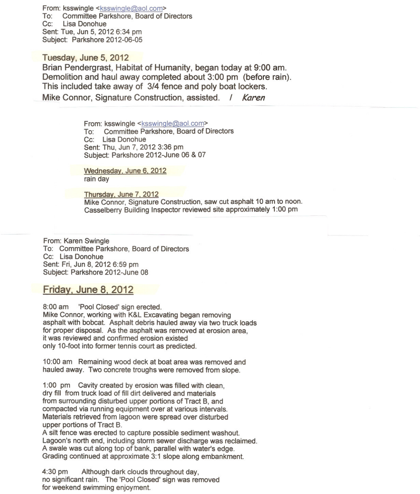From: ksswingle <ksswingle@aol.com><br>To: Committee Parkshore. Board of D To: Committee Parkshore, Board of Directors Lisa Donohue Sent: Tue, Jun 5, 2012 6:34 pm Subject: Parkshore 2012-06-05

#### Tuesday, June 5, 2012

Brian Pendergrast, Habitat of Humanity, began today at 9:00 am. Demolition and haul away completed about 3:00 pm (before rain). This included take away of 3/4 fence and poly boat lockers. Mike Connor, Signature Construction, assisted. / *Karen*

> From: ksswingle <ksswingle@aol.com> To: Committee Parkshore, Board of Directors Cc: Lisa Donohue Sent: Thu, Jun 7, 2012 3:36 pm Subject: Parkshore 2012-June 06 & 07

Wednesday, June 6, 2012 rain day

Thursdav. June 7. 2012 Mike Connor, Signature Construction, saw cut asphalt 10 am to noon. Casselberry Building Inspector reviewed site approximately 1:00 pm

From: Karen Swingle To: Committee Parkshore, Board of Directors Cc: Lisa Donohue Sent: Fri, Jun 8, 2012 6:59 pm Subject: Parkshore 2012-June 08

## Fridav. June 8. 2012

8:00 am 'Pool Closed' sign erected. Mike Connor, working with K&L Excavating began removing asphalt with bobcat. Asphalt debris hauled away via two truck loads for proper disposal. As the asphalt was removed at erosion area, it was reviewed and confirmed erosion existed only 10-foot into former tennis court as predicted.

10:00 am Remaining wood deck at boat area was removed and hauled away. Two concrete troughs were removed from slope.

1:00 pm Cavity created by erosion was filled with clean, dry fill from truck load of fill dirt delivered and materials from surrounding disturbed upper portions of Tract B, and compacted via running equipment over at various intervals. Materials retrieved from lagoon were spread over disturbed upper portions of Tract B.

A silt fence was erected to capture possible sediment washout. Lagoon's north end, including storm sewer discharge was reclaimed. A swale was cut along top of bank, parallel with water's edge. Grading continued at approximate 3: 1 slope along embankment.

4:30 pm Although dark clouds throughout day, no significant rain. The 'Pool Closed' sign was removed for weekend swimming enjoyment.